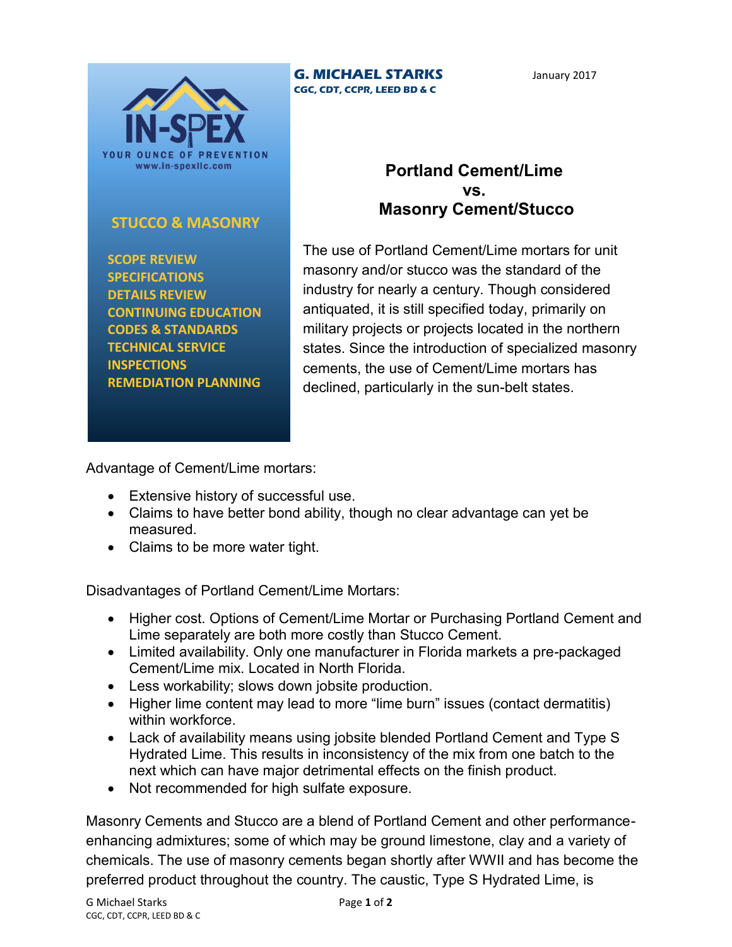

**STUCCO & MASONRY**

 **CONTINUING EDUCATION CODES & STANDARDS TECHNICAL SERVICE**

 **REMEDIATION PLANNING**

 **SCOPE REVIEW SPECIFICATIONS DETAILS REVIEW**

 **INSPECTIONS**

## **G. MICHAEL STARKS CGC, CDT, CCPR, LEED BD & C**

## **Portland Cement/Lime vs. Masonry Cement/Stucco**

The use of Portland Cement/Lime mortars for unit masonry and/or stucco was the standard of the industry for nearly a century. Though considered antiquated, it is still specified today, primarily on military projects or projects located in the northern states. Since the introduction of specialized masonry cements, the use of Cement/Lime mortars has declined, particularly in the sun-belt states.

Advantage of Cement/Lime mortars:

- Extensive history of successful use.
- Claims to have better bond ability, though no clear advantage can yet be measured.
- Claims to be more water tight.

Disadvantages of Portland Cement/Lime Mortars:

- Higher cost. Options of Cement/Lime Mortar or Purchasing Portland Cement and Lime separately are both more costly than Stucco Cement.
- Limited availability. Only one manufacturer in Florida markets a pre-packaged Cement/Lime mix. Located in North Florida.
- Less workability; slows down jobsite production.
- Higher lime content may lead to more "lime burn" issues (contact dermatitis) within workforce.
- Lack of availability means using jobsite blended Portland Cement and Type S Hydrated Lime. This results in inconsistency of the mix from one batch to the next which can have major detrimental effects on the finish product.
- Not recommended for high sulfate exposure.

Masonry Cements and Stucco are a blend of Portland Cement and other performanceenhancing admixtures; some of which may be ground limestone, clay and a variety of chemicals. The use of masonry cements began shortly after WWII and has become the preferred product throughout the country. The caustic, Type S Hydrated Lime, is